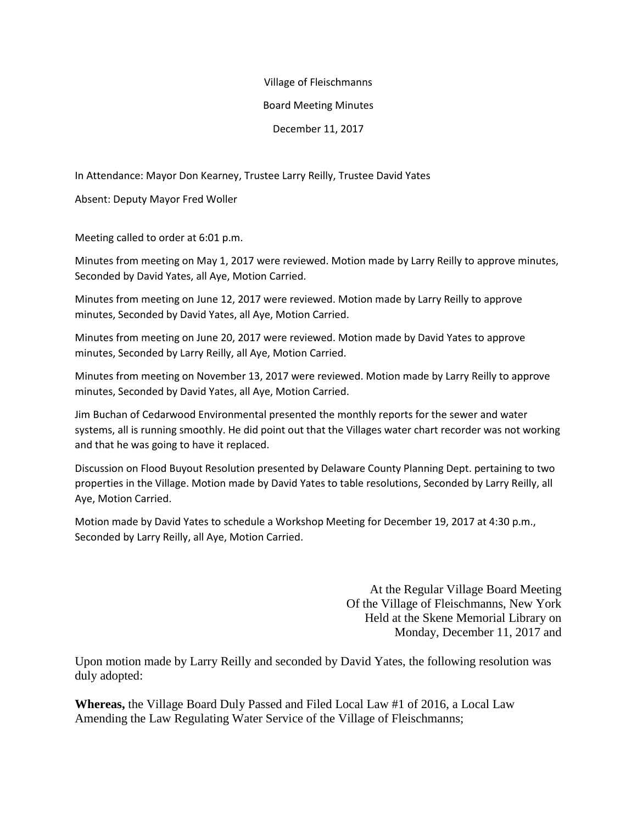## Village of Fleischmanns

## Board Meeting Minutes

December 11, 2017

In Attendance: Mayor Don Kearney, Trustee Larry Reilly, Trustee David Yates

Absent: Deputy Mayor Fred Woller

Meeting called to order at 6:01 p.m.

Minutes from meeting on May 1, 2017 were reviewed. Motion made by Larry Reilly to approve minutes, Seconded by David Yates, all Aye, Motion Carried.

Minutes from meeting on June 12, 2017 were reviewed. Motion made by Larry Reilly to approve minutes, Seconded by David Yates, all Aye, Motion Carried.

Minutes from meeting on June 20, 2017 were reviewed. Motion made by David Yates to approve minutes, Seconded by Larry Reilly, all Aye, Motion Carried.

Minutes from meeting on November 13, 2017 were reviewed. Motion made by Larry Reilly to approve minutes, Seconded by David Yates, all Aye, Motion Carried.

Jim Buchan of Cedarwood Environmental presented the monthly reports for the sewer and water systems, all is running smoothly. He did point out that the Villages water chart recorder was not working and that he was going to have it replaced.

Discussion on Flood Buyout Resolution presented by Delaware County Planning Dept. pertaining to two properties in the Village. Motion made by David Yates to table resolutions, Seconded by Larry Reilly, all Aye, Motion Carried.

Motion made by David Yates to schedule a Workshop Meeting for December 19, 2017 at 4:30 p.m., Seconded by Larry Reilly, all Aye, Motion Carried.

> At the Regular Village Board Meeting Of the Village of Fleischmanns, New York Held at the Skene Memorial Library on Monday, December 11, 2017 and

Upon motion made by Larry Reilly and seconded by David Yates, the following resolution was duly adopted:

**Whereas,** the Village Board Duly Passed and Filed Local Law #1 of 2016, a Local Law Amending the Law Regulating Water Service of the Village of Fleischmanns;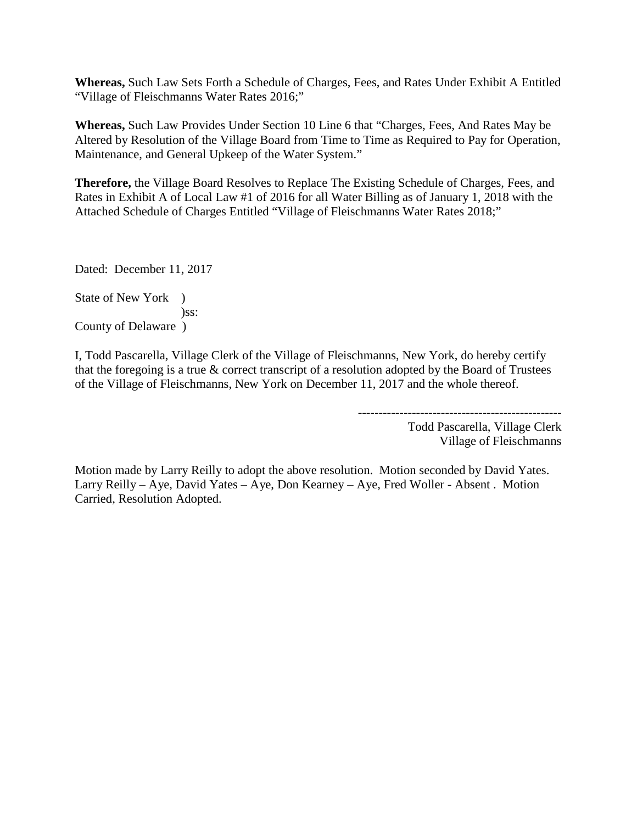**Whereas,** Such Law Sets Forth a Schedule of Charges, Fees, and Rates Under Exhibit A Entitled "Village of Fleischmanns Water Rates 2016;"

**Whereas,** Such Law Provides Under Section 10 Line 6 that "Charges, Fees, And Rates May be Altered by Resolution of the Village Board from Time to Time as Required to Pay for Operation, Maintenance, and General Upkeep of the Water System."

**Therefore,** the Village Board Resolves to Replace The Existing Schedule of Charges, Fees, and Rates in Exhibit A of Local Law #1 of 2016 for all Water Billing as of January 1, 2018 with the Attached Schedule of Charges Entitled "Village of Fleischmanns Water Rates 2018;"

Dated: December 11, 2017

State of New York ) )ss: County of Delaware )

I, Todd Pascarella, Village Clerk of the Village of Fleischmanns, New York, do hereby certify that the foregoing is a true & correct transcript of a resolution adopted by the Board of Trustees of the Village of Fleischmanns, New York on December 11, 2017 and the whole thereof.

> ------------------------------------------------- Todd Pascarella, Village Clerk Village of Fleischmanns

Motion made by Larry Reilly to adopt the above resolution. Motion seconded by David Yates. Larry Reilly – Aye, David Yates – Aye, Don Kearney – Aye, Fred Woller - Absent . Motion Carried, Resolution Adopted.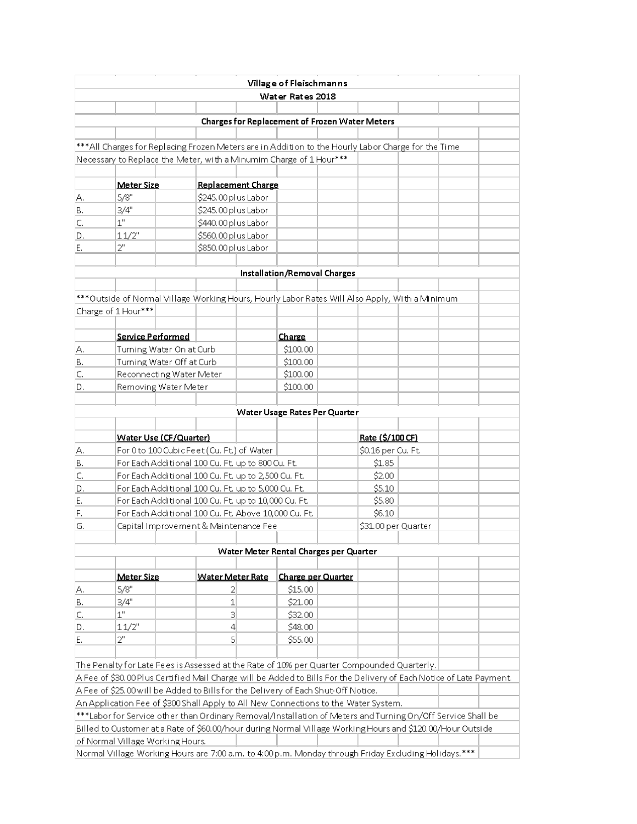|                                                                                                                                                                                                                   |                                                                                                             |  |                           |  | Village of Fleischmanns                                                                                     |                    |                     |  |  |  |
|-------------------------------------------------------------------------------------------------------------------------------------------------------------------------------------------------------------------|-------------------------------------------------------------------------------------------------------------|--|---------------------------|--|-------------------------------------------------------------------------------------------------------------|--------------------|---------------------|--|--|--|
|                                                                                                                                                                                                                   |                                                                                                             |  |                           |  | Water Rates 2018                                                                                            |                    |                     |  |  |  |
|                                                                                                                                                                                                                   |                                                                                                             |  |                           |  |                                                                                                             |                    |                     |  |  |  |
| <b>Charges for Replacement of Frozen Water Meters</b>                                                                                                                                                             |                                                                                                             |  |                           |  |                                                                                                             |                    |                     |  |  |  |
|                                                                                                                                                                                                                   |                                                                                                             |  |                           |  |                                                                                                             |                    |                     |  |  |  |
|                                                                                                                                                                                                                   |                                                                                                             |  |                           |  | ***All Charges for Replacing Frozen Meters are in Addition to the Hourly Labor Charge for the Time          |                    |                     |  |  |  |
|                                                                                                                                                                                                                   |                                                                                                             |  |                           |  | Necessary to Replace the Meter, with a Minumim Charge of 1 Hour***                                          |                    |                     |  |  |  |
|                                                                                                                                                                                                                   |                                                                                                             |  |                           |  |                                                                                                             |                    |                     |  |  |  |
|                                                                                                                                                                                                                   | Meter Size                                                                                                  |  | <b>Replacement Charge</b> |  |                                                                                                             |                    |                     |  |  |  |
| А.                                                                                                                                                                                                                | 5/8"                                                                                                        |  | \$245.00 plus Labor       |  |                                                                                                             |                    |                     |  |  |  |
| В.                                                                                                                                                                                                                | 3/4"                                                                                                        |  | \$245.00 plus Labor       |  |                                                                                                             |                    |                     |  |  |  |
| C.                                                                                                                                                                                                                | $1^{\rm n}$                                                                                                 |  | \$440.00 plus Labor       |  |                                                                                                             |                    |                     |  |  |  |
| D.                                                                                                                                                                                                                | 11/2"                                                                                                       |  | \$560.00 plus Labor       |  |                                                                                                             |                    |                     |  |  |  |
| Ε.                                                                                                                                                                                                                | $2^0$                                                                                                       |  | \$850.00 plus Labor       |  |                                                                                                             |                    |                     |  |  |  |
|                                                                                                                                                                                                                   |                                                                                                             |  |                           |  |                                                                                                             |                    |                     |  |  |  |
|                                                                                                                                                                                                                   |                                                                                                             |  |                           |  | Installation/Removal Charges                                                                                |                    |                     |  |  |  |
|                                                                                                                                                                                                                   |                                                                                                             |  |                           |  |                                                                                                             |                    |                     |  |  |  |
|                                                                                                                                                                                                                   |                                                                                                             |  |                           |  | ***Outside of Normal Village Working Hours, Hourly Labor Rates Will Also Apply, With a Minimum              |                    |                     |  |  |  |
| Charge of 1 Hour***                                                                                                                                                                                               |                                                                                                             |  |                           |  |                                                                                                             |                    |                     |  |  |  |
|                                                                                                                                                                                                                   |                                                                                                             |  |                           |  |                                                                                                             |                    |                     |  |  |  |
|                                                                                                                                                                                                                   | Service Performed                                                                                           |  |                           |  | Charge                                                                                                      |                    |                     |  |  |  |
| А.                                                                                                                                                                                                                | Turning Water On at Curb                                                                                    |  |                           |  | \$100.00                                                                                                    |                    |                     |  |  |  |
| В.                                                                                                                                                                                                                | Turning Water Off at Curb                                                                                   |  |                           |  | \$100.00                                                                                                    |                    |                     |  |  |  |
| C.                                                                                                                                                                                                                | Reconnecting Water Meter<br>Removing Water Meter                                                            |  |                           |  | \$100.00                                                                                                    |                    |                     |  |  |  |
| D.                                                                                                                                                                                                                |                                                                                                             |  |                           |  | \$100.00                                                                                                    |                    |                     |  |  |  |
|                                                                                                                                                                                                                   |                                                                                                             |  |                           |  |                                                                                                             |                    |                     |  |  |  |
|                                                                                                                                                                                                                   |                                                                                                             |  |                           |  | Water Usage Rates Per Quarter                                                                               |                    |                     |  |  |  |
|                                                                                                                                                                                                                   |                                                                                                             |  |                           |  |                                                                                                             |                    |                     |  |  |  |
|                                                                                                                                                                                                                   | Water Use (CF/Quarter)                                                                                      |  |                           |  |                                                                                                             |                    | Rate (\$/100 CF)    |  |  |  |
| А.                                                                                                                                                                                                                | For 0 to 100 Cubic Feet (Cu. Ft.) of Water                                                                  |  |                           |  |                                                                                                             |                    | \$0.16 per Cu. Ft.  |  |  |  |
| В.                                                                                                                                                                                                                | For Each Additional 100 Cu. Ft. up to 800 Cu. Ft.<br>For Each Additional 100 Cu. Ft. up to 2,500 Cu. Ft.    |  |                           |  |                                                                                                             |                    | \$1.85              |  |  |  |
| C.                                                                                                                                                                                                                |                                                                                                             |  |                           |  |                                                                                                             |                    | \$2.00              |  |  |  |
| D.<br>Ε.                                                                                                                                                                                                          | For Each Additional 100 Cu. Ft. up to 5,000 Cu. Ft.<br>For Each Additional 100 Cu. Ft. up to 10,000 Cu. Ft. |  |                           |  |                                                                                                             |                    | \$5.10<br>\$5.80    |  |  |  |
| F.                                                                                                                                                                                                                |                                                                                                             |  |                           |  |                                                                                                             |                    | \$6.10              |  |  |  |
| G.                                                                                                                                                                                                                | For Each Additional 100 Cu. Ft. Above 10,000 Cu. Ft.<br>Capital Improvement & Maintenance Fee               |  |                           |  |                                                                                                             |                    | \$31.00 per Quarter |  |  |  |
|                                                                                                                                                                                                                   |                                                                                                             |  |                           |  |                                                                                                             |                    |                     |  |  |  |
|                                                                                                                                                                                                                   |                                                                                                             |  |                           |  |                                                                                                             |                    |                     |  |  |  |
| Water Meter Rental Charges per Quarter                                                                                                                                                                            |                                                                                                             |  |                           |  |                                                                                                             |                    |                     |  |  |  |
|                                                                                                                                                                                                                   | Meter Size                                                                                                  |  | Water Meter Rate          |  |                                                                                                             | Charge per Quarter |                     |  |  |  |
| А.                                                                                                                                                                                                                | 5/8"                                                                                                        |  | 2                         |  | \$15.00                                                                                                     |                    |                     |  |  |  |
| В.                                                                                                                                                                                                                | 3/4"                                                                                                        |  | 1                         |  | \$21.00                                                                                                     |                    |                     |  |  |  |
| C.                                                                                                                                                                                                                | 1"                                                                                                          |  | З                         |  | \$32.00                                                                                                     |                    |                     |  |  |  |
| D.                                                                                                                                                                                                                | 11/2"                                                                                                       |  | 4                         |  | \$48.00                                                                                                     |                    |                     |  |  |  |
| Ε.                                                                                                                                                                                                                | 2"                                                                                                          |  | 5                         |  | \$55.00                                                                                                     |                    |                     |  |  |  |
|                                                                                                                                                                                                                   |                                                                                                             |  |                           |  |                                                                                                             |                    |                     |  |  |  |
|                                                                                                                                                                                                                   |                                                                                                             |  |                           |  |                                                                                                             |                    |                     |  |  |  |
| The Penalty for Late Fees is Assessed at the Rate of 10% per Quarter Compounded Quarterly.<br>A Fee of \$30.00 Plus Certified Mail Charge will be Added to Bills For the Delivery of Each Notice of Late Payment. |                                                                                                             |  |                           |  |                                                                                                             |                    |                     |  |  |  |
| A Fee of \$25,00 will be Added to Bills for the Delivery of Each Shut-Off Notice.                                                                                                                                 |                                                                                                             |  |                           |  |                                                                                                             |                    |                     |  |  |  |
|                                                                                                                                                                                                                   |                                                                                                             |  |                           |  | An Application Fee of \$300 Shall Apply to All New Connections to the Water System.                         |                    |                     |  |  |  |
|                                                                                                                                                                                                                   |                                                                                                             |  |                           |  | ***Labor for Service other than Ordinary Removal/Installation of Meters and Turning On/Off Service Shall be |                    |                     |  |  |  |
|                                                                                                                                                                                                                   |                                                                                                             |  |                           |  | Billed to Customer at a Rate of \$60.00/hour during Normal Village Working Hours and \$120.00/Hour Outside  |                    |                     |  |  |  |
|                                                                                                                                                                                                                   | of Normal Village Working Hours.                                                                            |  |                           |  |                                                                                                             |                    |                     |  |  |  |
|                                                                                                                                                                                                                   |                                                                                                             |  |                           |  | Normal Village Working Hours are 7:00 a.m. to 4:00 p.m. Monday through Friday Excluding Holidays. ***       |                    |                     |  |  |  |
|                                                                                                                                                                                                                   |                                                                                                             |  |                           |  |                                                                                                             |                    |                     |  |  |  |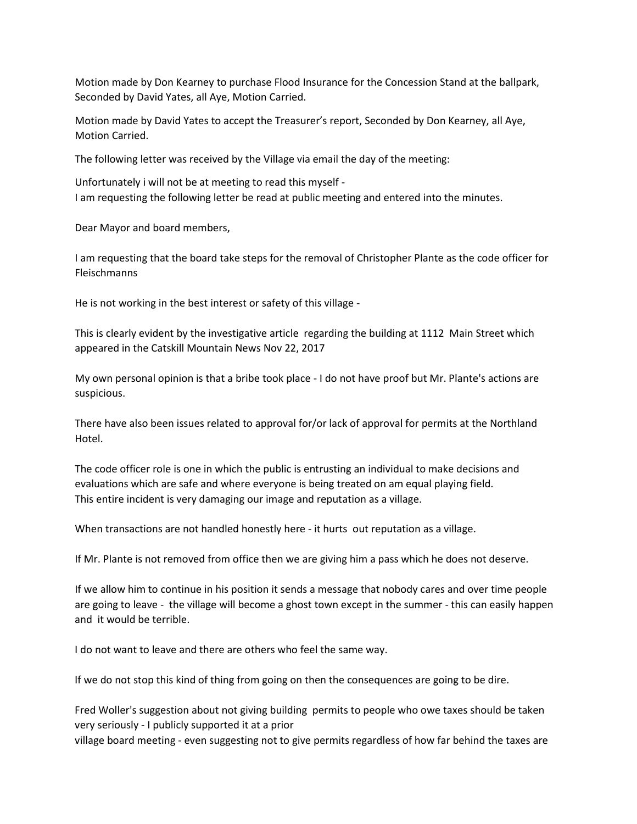Motion made by Don Kearney to purchase Flood Insurance for the Concession Stand at the ballpark, Seconded by David Yates, all Aye, Motion Carried.

Motion made by David Yates to accept the Treasurer's report, Seconded by Don Kearney, all Aye, Motion Carried.

The following letter was received by the Village via email the day of the meeting:

Unfortunately i will not be at meeting to read this myself - I am requesting the following letter be read at public meeting and entered into the minutes.

Dear Mayor and board members,

I am requesting that the board take steps for the removal of Christopher Plante as the code officer for Fleischmanns

He is not working in the best interest or safety of this village -

This is clearly evident by the investigative article regarding the building at 1112 Main Street which appeared in the Catskill Mountain News Nov 22, 2017

My own personal opinion is that a bribe took place - I do not have proof but Mr. Plante's actions are suspicious.

There have also been issues related to approval for/or lack of approval for permits at the Northland Hotel.

The code officer role is one in which the public is entrusting an individual to make decisions and evaluations which are safe and where everyone is being treated on am equal playing field. This entire incident is very damaging our image and reputation as a village.

When transactions are not handled honestly here - it hurts out reputation as a village.

If Mr. Plante is not removed from office then we are giving him a pass which he does not deserve.

If we allow him to continue in his position it sends a message that nobody cares and over time people are going to leave - the village will become a ghost town except in the summer - this can easily happen and it would be terrible.

I do not want to leave and there are others who feel the same way.

If we do not stop this kind of thing from going on then the consequences are going to be dire.

Fred Woller's suggestion about not giving building permits to people who owe taxes should be taken very seriously - I publicly supported it at a prior

village board meeting - even suggesting not to give permits regardless of how far behind the taxes are